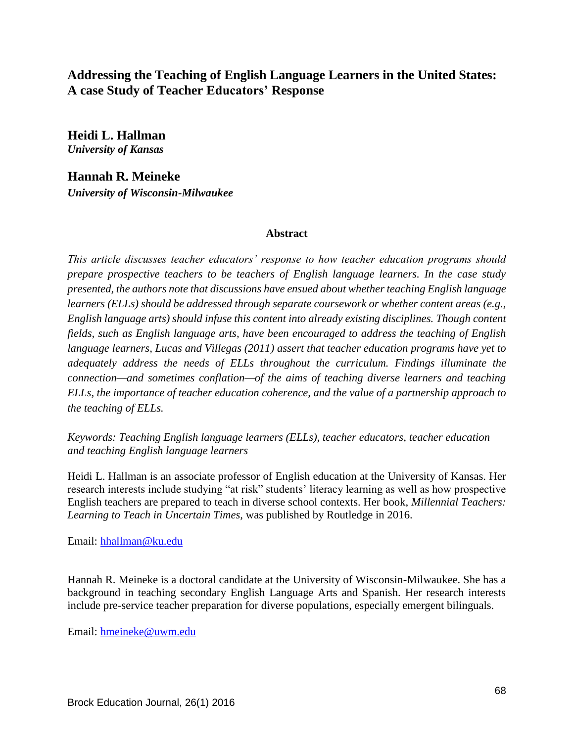# **Addressing the Teaching of English Language Learners in the United States: A case Study of Teacher Educators' Response**

**Heidi L. Hallman** *University of Kansas*

**Hannah R. Meineke** *University of Wisconsin-Milwaukee*

#### **Abstract**

*This article discusses teacher educators' response to how teacher education programs should prepare prospective teachers to be teachers of English language learners. In the case study presented, the authors note that discussions have ensued about whether teaching English language learners (ELLs) should be addressed through separate coursework or whether content areas (e.g., English language arts) should infuse this content into already existing disciplines. Though content fields, such as English language arts, have been encouraged to address the teaching of English language learners, Lucas and Villegas (2011) assert that teacher education programs have yet to adequately address the needs of ELLs throughout the curriculum. Findings illuminate the connection—and sometimes conflation—of the aims of teaching diverse learners and teaching ELLs, the importance of teacher education coherence, and the value of a partnership approach to the teaching of ELLs.*

*Keywords: Teaching English language learners (ELLs), teacher educators, teacher education and teaching English language learners*

Heidi L. Hallman is an associate professor of English education at the University of Kansas. Her research interests include studying "at risk" students' literacy learning as well as how prospective English teachers are prepared to teach in diverse school contexts. Her book, *Millennial Teachers: Learning to Teach in Uncertain Times,* was published by Routledge in 2016.

Email: [hhallman@ku.edu](mailto:hhallman@ku.edu)

Hannah R. Meineke is a doctoral candidate at the University of Wisconsin-Milwaukee. She has a background in teaching secondary English Language Arts and Spanish. Her research interests include pre-service teacher preparation for diverse populations, especially emergent bilinguals.

Email: [hmeineke@uwm.edu](mailto:hmeineke@uwm.edu)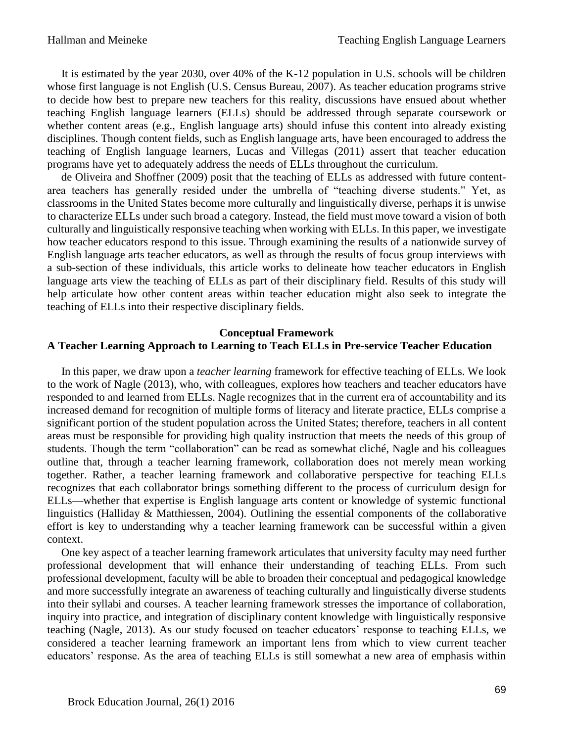It is estimated by the year 2030, over 40% of the K-12 population in U.S. schools will be children whose first language is not English (U.S. Census Bureau, 2007). As teacher education programs strive to decide how best to prepare new teachers for this reality, discussions have ensued about whether teaching English language learners (ELLs) should be addressed through separate coursework or whether content areas (e.g., English language arts) should infuse this content into already existing disciplines. Though content fields, such as English language arts, have been encouraged to address the teaching of English language learners, Lucas and Villegas (2011) assert that teacher education programs have yet to adequately address the needs of ELLs throughout the curriculum.

 de Oliveira and Shoffner (2009) posit that the teaching of ELLs as addressed with future contentarea teachers has generally resided under the umbrella of "teaching diverse students." Yet, as classrooms in the United States become more culturally and linguistically diverse, perhaps it is unwise to characterize ELLs under such broad a category. Instead, the field must move toward a vision of both culturally and linguistically responsive teaching when working with ELLs. In this paper, we investigate how teacher educators respond to this issue. Through examining the results of a nationwide survey of English language arts teacher educators, as well as through the results of focus group interviews with a sub-section of these individuals, this article works to delineate how teacher educators in English language arts view the teaching of ELLs as part of their disciplinary field. Results of this study will help articulate how other content areas within teacher education might also seek to integrate the teaching of ELLs into their respective disciplinary fields.

## **Conceptual Framework**

## **A Teacher Learning Approach to Learning to Teach ELLs in Pre-service Teacher Education**

 In this paper, we draw upon a *teacher learning* framework for effective teaching of ELLs. We look to the work of Nagle (2013), who, with colleagues, explores how teachers and teacher educators have responded to and learned from ELLs. Nagle recognizes that in the current era of accountability and its increased demand for recognition of multiple forms of literacy and literate practice, ELLs comprise a significant portion of the student population across the United States; therefore, teachers in all content areas must be responsible for providing high quality instruction that meets the needs of this group of students. Though the term "collaboration" can be read as somewhat cliché, Nagle and his colleagues outline that, through a teacher learning framework, collaboration does not merely mean working together. Rather, a teacher learning framework and collaborative perspective for teaching ELLs recognizes that each collaborator brings something different to the process of curriculum design for ELLs—whether that expertise is English language arts content or knowledge of systemic functional linguistics (Halliday & Matthiessen, 2004). Outlining the essential components of the collaborative effort is key to understanding why a teacher learning framework can be successful within a given context.

 One key aspect of a teacher learning framework articulates that university faculty may need further professional development that will enhance their understanding of teaching ELLs. From such professional development, faculty will be able to broaden their conceptual and pedagogical knowledge and more successfully integrate an awareness of teaching culturally and linguistically diverse students into their syllabi and courses. A teacher learning framework stresses the importance of collaboration, inquiry into practice, and integration of disciplinary content knowledge with linguistically responsive teaching (Nagle, 2013). As our study focused on teacher educators' response to teaching ELLs, we considered a teacher learning framework an important lens from which to view current teacher educators' response. As the area of teaching ELLs is still somewhat a new area of emphasis within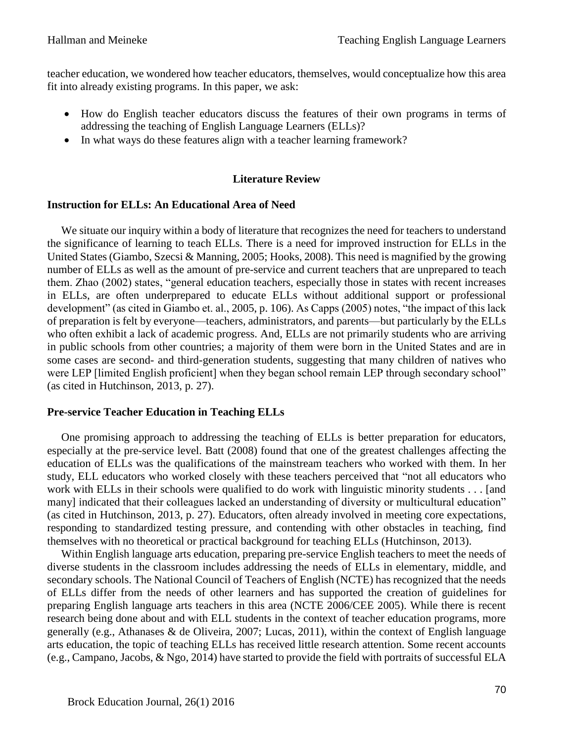teacher education, we wondered how teacher educators, themselves, would conceptualize how this area fit into already existing programs. In this paper, we ask:

- How do English teacher educators discuss the features of their own programs in terms of addressing the teaching of English Language Learners (ELLs)?
- In what ways do these features align with a teacher learning framework?

### **Literature Review**

#### **Instruction for ELLs: An Educational Area of Need**

We situate our inquiry within a body of literature that recognizes the need for teachers to understand the significance of learning to teach ELLs. There is a need for improved instruction for ELLs in the United States (Giambo, Szecsi & Manning, 2005; Hooks, 2008). This need is magnified by the growing number of ELLs as well as the amount of pre-service and current teachers that are unprepared to teach them. Zhao (2002) states, "general education teachers, especially those in states with recent increases in ELLs, are often underprepared to educate ELLs without additional support or professional development" (as cited in Giambo et. al., 2005, p. 106). As Capps (2005) notes, "the impact of this lack of preparation is felt by everyone—teachers, administrators, and parents—but particularly by the ELLs who often exhibit a lack of academic progress. And, ELLs are not primarily students who are arriving in public schools from other countries; a majority of them were born in the United States and are in some cases are second- and third-generation students, suggesting that many children of natives who were LEP [limited English proficient] when they began school remain LEP through secondary school" (as cited in Hutchinson, 2013, p. 27).

#### **Pre-service Teacher Education in Teaching ELLs**

 One promising approach to addressing the teaching of ELLs is better preparation for educators, especially at the pre-service level. Batt (2008) found that one of the greatest challenges affecting the education of ELLs was the qualifications of the mainstream teachers who worked with them. In her study, ELL educators who worked closely with these teachers perceived that "not all educators who work with ELLs in their schools were qualified to do work with linguistic minority students . . . [and many] indicated that their colleagues lacked an understanding of diversity or multicultural education" (as cited in Hutchinson, 2013, p. 27). Educators, often already involved in meeting core expectations, responding to standardized testing pressure, and contending with other obstacles in teaching, find themselves with no theoretical or practical background for teaching ELLs (Hutchinson, 2013).

 Within English language arts education, preparing pre-service English teachers to meet the needs of diverse students in the classroom includes addressing the needs of ELLs in elementary, middle, and secondary schools. The National Council of Teachers of English (NCTE) has recognized that the needs of ELLs differ from the needs of other learners and has supported the creation of guidelines for preparing English language arts teachers in this area (NCTE 2006/CEE 2005). While there is recent research being done about and with ELL students in the context of teacher education programs, more generally (e.g., Athanases & de Oliveira, 2007; Lucas, 2011), within the context of English language arts education, the topic of teaching ELLs has received little research attention. Some recent accounts (e.g., Campano, Jacobs, & Ngo, 2014) have started to provide the field with portraits of successful ELA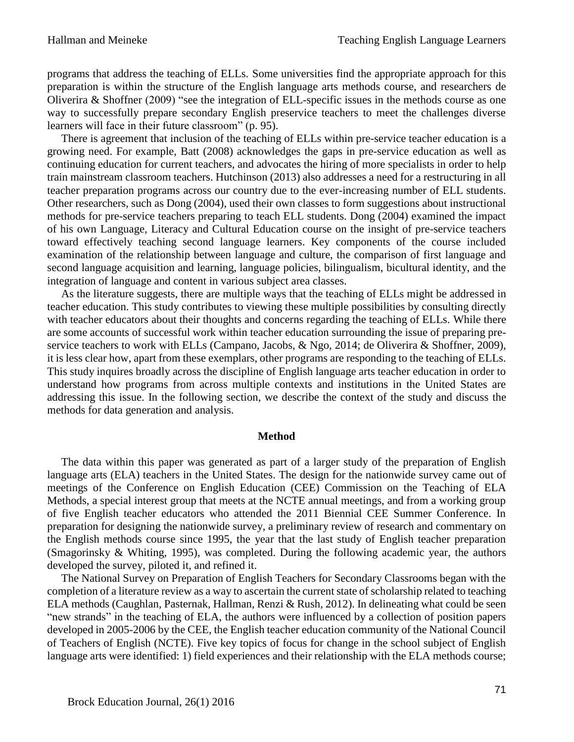programs that address the teaching of ELLs. Some universities find the appropriate approach for this preparation is within the structure of the English language arts methods course, and researchers de Oliverira & Shoffner (2009) "see the integration of ELL-specific issues in the methods course as one way to successfully prepare secondary English preservice teachers to meet the challenges diverse learners will face in their future classroom" (p. 95).

 There is agreement that inclusion of the teaching of ELLs within pre-service teacher education is a growing need. For example, Batt (2008) acknowledges the gaps in pre-service education as well as continuing education for current teachers, and advocates the hiring of more specialists in order to help train mainstream classroom teachers. Hutchinson (2013) also addresses a need for a restructuring in all teacher preparation programs across our country due to the ever-increasing number of ELL students. Other researchers, such as Dong (2004), used their own classes to form suggestions about instructional methods for pre-service teachers preparing to teach ELL students. Dong (2004) examined the impact of his own Language, Literacy and Cultural Education course on the insight of pre-service teachers toward effectively teaching second language learners. Key components of the course included examination of the relationship between language and culture, the comparison of first language and second language acquisition and learning, language policies, bilingualism, bicultural identity, and the integration of language and content in various subject area classes.

 As the literature suggests, there are multiple ways that the teaching of ELLs might be addressed in teacher education. This study contributes to viewing these multiple possibilities by consulting directly with teacher educators about their thoughts and concerns regarding the teaching of ELLs. While there are some accounts of successful work within teacher education surrounding the issue of preparing preservice teachers to work with ELLs (Campano, Jacobs, & Ngo, 2014; de Oliverira & Shoffner, 2009), it is less clear how, apart from these exemplars, other programs are responding to the teaching of ELLs. This study inquires broadly across the discipline of English language arts teacher education in order to understand how programs from across multiple contexts and institutions in the United States are addressing this issue. In the following section, we describe the context of the study and discuss the methods for data generation and analysis.

#### **Method**

 The data within this paper was generated as part of a larger study of the preparation of English language arts (ELA) teachers in the United States. The design for the nationwide survey came out of meetings of the Conference on English Education (CEE) Commission on the Teaching of ELA Methods, a special interest group that meets at the NCTE annual meetings, and from a working group of five English teacher educators who attended the 2011 Biennial CEE Summer Conference. In preparation for designing the nationwide survey, a preliminary review of research and commentary on the English methods course since 1995, the year that the last study of English teacher preparation (Smagorinsky & Whiting, 1995), was completed. During the following academic year, the authors developed the survey, piloted it, and refined it.

 The National Survey on Preparation of English Teachers for Secondary Classrooms began with the completion of a literature review as a way to ascertain the current state of scholarship related to teaching ELA methods (Caughlan, Pasternak, Hallman, Renzi & Rush, 2012). In delineating what could be seen "new strands" in the teaching of ELA, the authors were influenced by a collection of position papers developed in 2005-2006 by the CEE, the English teacher education community of the National Council of Teachers of English (NCTE). Five key topics of focus for change in the school subject of English language arts were identified: 1) field experiences and their relationship with the ELA methods course;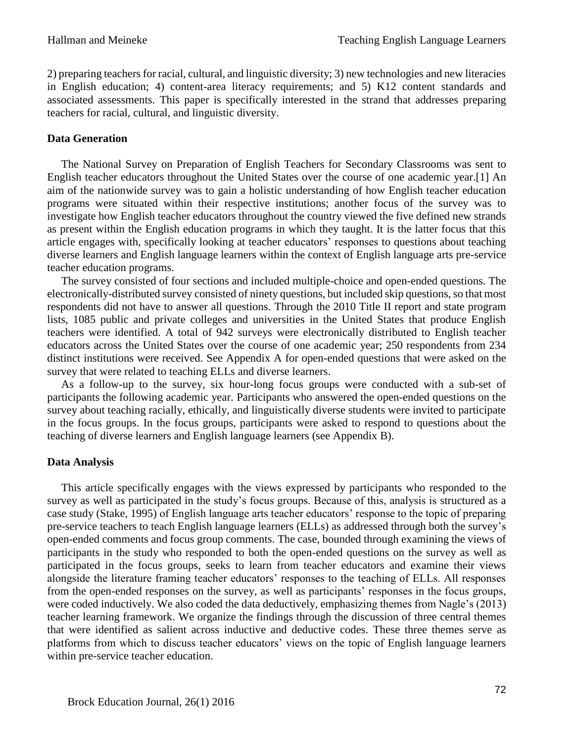2) preparing teachers for racial, cultural, and linguistic diversity; 3) new technologies and new literacies in English education; 4) content-area literacy requirements; and 5) K12 content standards and associated assessments. This paper is specifically interested in the strand that addresses preparing teachers for racial, cultural, and linguistic diversity.

## **Data Generation**

 The National Survey on Preparation of English Teachers for Secondary Classrooms was sent to English teacher educators throughout the United States over the course of one academic year.[1] An aim of the nationwide survey was to gain a holistic understanding of how English teacher education programs were situated within their respective institutions; another focus of the survey was to investigate how English teacher educators throughout the country viewed the five defined new strands as present within the English education programs in which they taught. It is the latter focus that this article engages with, specifically looking at teacher educators' responses to questions about teaching diverse learners and English language learners within the context of English language arts pre-service teacher education programs.

 The survey consisted of four sections and included multiple-choice and open-ended questions. The electronically-distributed survey consisted of ninety questions, but included skip questions, so that most respondents did not have to answer all questions. Through the 2010 Title II report and state program lists, 1085 public and private colleges and universities in the United States that produce English teachers were identified. A total of 942 surveys were electronically distributed to English teacher educators across the United States over the course of one academic year; 250 respondents from 234 distinct institutions were received. See Appendix A for open-ended questions that were asked on the survey that were related to teaching ELLs and diverse learners.

 As a follow-up to the survey, six hour-long focus groups were conducted with a sub-set of participants the following academic year. Participants who answered the open-ended questions on the survey about teaching racially, ethically, and linguistically diverse students were invited to participate in the focus groups. In the focus groups, participants were asked to respond to questions about the teaching of diverse learners and English language learners (see Appendix B).

## **Data Analysis**

 This article specifically engages with the views expressed by participants who responded to the survey as well as participated in the study's focus groups. Because of this, analysis is structured as a case study (Stake, 1995) of English language arts teacher educators' response to the topic of preparing pre-service teachers to teach English language learners (ELLs) as addressed through both the survey's open-ended comments and focus group comments. The case, bounded through examining the views of participants in the study who responded to both the open-ended questions on the survey as well as participated in the focus groups, seeks to learn from teacher educators and examine their views alongside the literature framing teacher educators' responses to the teaching of ELLs. All responses from the open-ended responses on the survey, as well as participants' responses in the focus groups, were coded inductively. We also coded the data deductively, emphasizing themes from Nagle's (2013) teacher learning framework. We organize the findings through the discussion of three central themes that were identified as salient across inductive and deductive codes. These three themes serve as platforms from which to discuss teacher educators' views on the topic of English language learners within pre-service teacher education.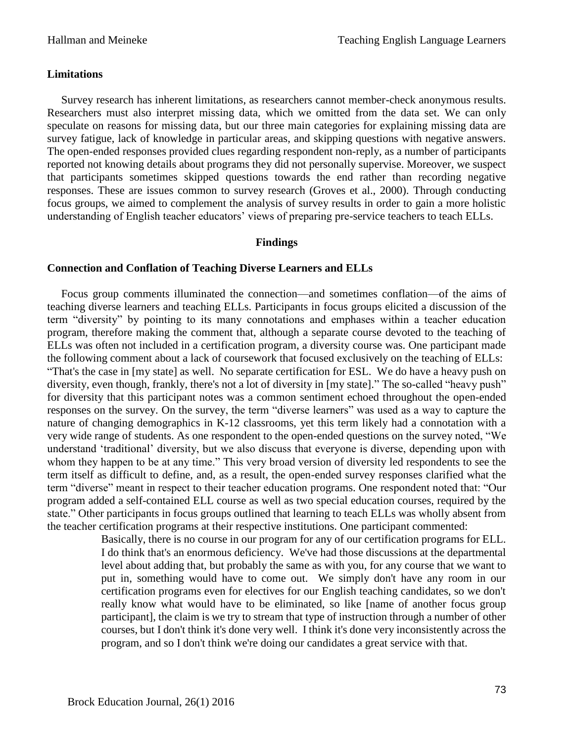#### **Limitations**

 Survey research has inherent limitations, as researchers cannot member-check anonymous results. Researchers must also interpret missing data, which we omitted from the data set. We can only speculate on reasons for missing data, but our three main categories for explaining missing data are survey fatigue, lack of knowledge in particular areas, and skipping questions with negative answers. The open-ended responses provided clues regarding respondent non-reply, as a number of participants reported not knowing details about programs they did not personally supervise. Moreover, we suspect that participants sometimes skipped questions towards the end rather than recording negative responses. These are issues common to survey research (Groves et al., 2000). Through conducting focus groups, we aimed to complement the analysis of survey results in order to gain a more holistic understanding of English teacher educators' views of preparing pre-service teachers to teach ELLs.

#### **Findings**

#### **Connection and Conflation of Teaching Diverse Learners and ELLs**

 Focus group comments illuminated the connection—and sometimes conflation—of the aims of teaching diverse learners and teaching ELLs. Participants in focus groups elicited a discussion of the term "diversity" by pointing to its many connotations and emphases within a teacher education program, therefore making the comment that, although a separate course devoted to the teaching of ELLs was often not included in a certification program, a diversity course was. One participant made the following comment about a lack of coursework that focused exclusively on the teaching of ELLs: "That's the case in [my state] as well. No separate certification for ESL. We do have a heavy push on diversity, even though, frankly, there's not a lot of diversity in [my state]." The so-called "heavy push" for diversity that this participant notes was a common sentiment echoed throughout the open-ended responses on the survey. On the survey, the term "diverse learners" was used as a way to capture the nature of changing demographics in K-12 classrooms, yet this term likely had a connotation with a very wide range of students. As one respondent to the open-ended questions on the survey noted, "We understand 'traditional' diversity, but we also discuss that everyone is diverse, depending upon with whom they happen to be at any time." This very broad version of diversity led respondents to see the term itself as difficult to define, and, as a result, the open-ended survey responses clarified what the term "diverse" meant in respect to their teacher education programs. One respondent noted that: "Our program added a self-contained ELL course as well as two special education courses, required by the state." Other participants in focus groups outlined that learning to teach ELLs was wholly absent from the teacher certification programs at their respective institutions. One participant commented:

> Basically, there is no course in our program for any of our certification programs for ELL. I do think that's an enormous deficiency. We've had those discussions at the departmental level about adding that, but probably the same as with you, for any course that we want to put in, something would have to come out. We simply don't have any room in our certification programs even for electives for our English teaching candidates, so we don't really know what would have to be eliminated, so like [name of another focus group participant], the claim is we try to stream that type of instruction through a number of other courses, but I don't think it's done very well. I think it's done very inconsistently across the program, and so I don't think we're doing our candidates a great service with that.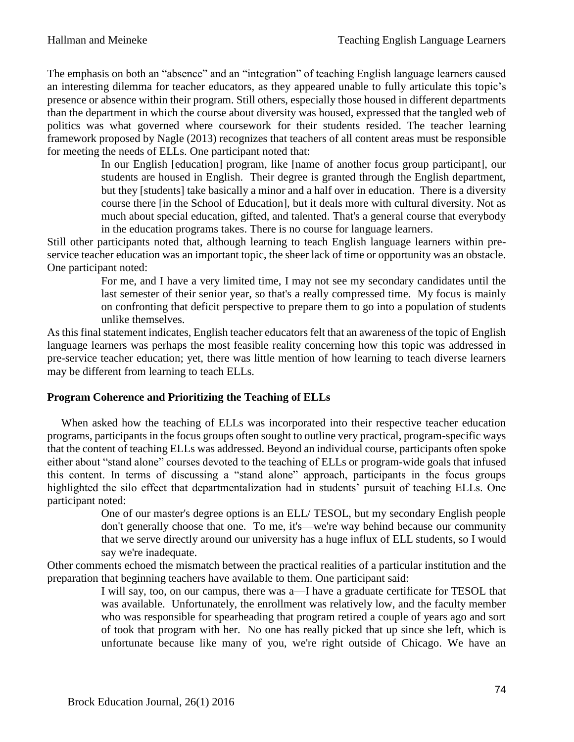The emphasis on both an "absence" and an "integration" of teaching English language learners caused an interesting dilemma for teacher educators, as they appeared unable to fully articulate this topic's presence or absence within their program. Still others, especially those housed in different departments than the department in which the course about diversity was housed, expressed that the tangled web of politics was what governed where coursework for their students resided. The teacher learning framework proposed by Nagle (2013) recognizes that teachers of all content areas must be responsible for meeting the needs of ELLs. One participant noted that:

> In our English [education] program, like [name of another focus group participant], our students are housed in English. Their degree is granted through the English department, but they [students] take basically a minor and a half over in education. There is a diversity course there [in the School of Education], but it deals more with cultural diversity. Not as much about special education, gifted, and talented. That's a general course that everybody in the education programs takes. There is no course for language learners.

Still other participants noted that, although learning to teach English language learners within preservice teacher education was an important topic, the sheer lack of time or opportunity was an obstacle. One participant noted:

> For me, and I have a very limited time, I may not see my secondary candidates until the last semester of their senior year, so that's a really compressed time. My focus is mainly on confronting that deficit perspective to prepare them to go into a population of students unlike themselves.

As this final statement indicates, English teacher educators felt that an awareness of the topic of English language learners was perhaps the most feasible reality concerning how this topic was addressed in pre-service teacher education; yet, there was little mention of how learning to teach diverse learners may be different from learning to teach ELLs.

## **Program Coherence and Prioritizing the Teaching of ELLs**

 When asked how the teaching of ELLs was incorporated into their respective teacher education programs, participants in the focus groups often sought to outline very practical, program-specific ways that the content of teaching ELLs was addressed. Beyond an individual course, participants often spoke either about "stand alone" courses devoted to the teaching of ELLs or program-wide goals that infused this content. In terms of discussing a "stand alone" approach, participants in the focus groups highlighted the silo effect that departmentalization had in students' pursuit of teaching ELLs. One participant noted:

> One of our master's degree options is an ELL/ TESOL, but my secondary English people don't generally choose that one. To me, it's—we're way behind because our community that we serve directly around our university has a huge influx of ELL students, so I would say we're inadequate.

Other comments echoed the mismatch between the practical realities of a particular institution and the preparation that beginning teachers have available to them. One participant said:

> I will say, too, on our campus, there was a—I have a graduate certificate for TESOL that was available. Unfortunately, the enrollment was relatively low, and the faculty member who was responsible for spearheading that program retired a couple of years ago and sort of took that program with her. No one has really picked that up since she left, which is unfortunate because like many of you, we're right outside of Chicago. We have an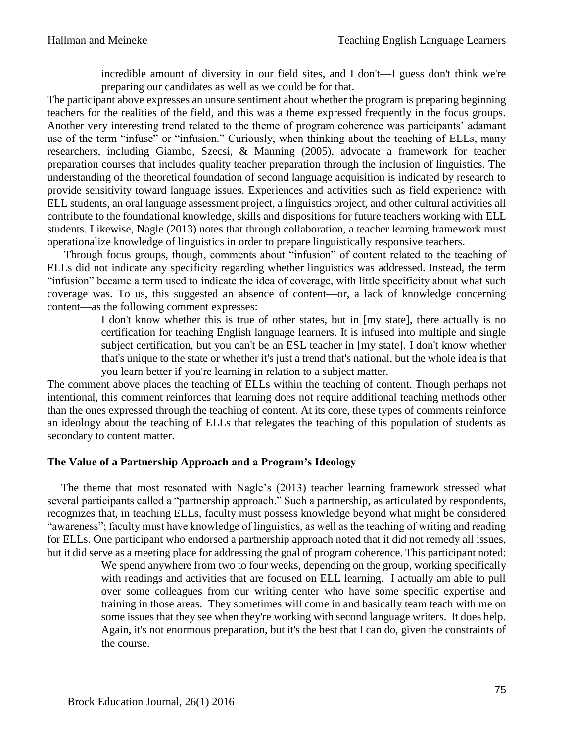incredible amount of diversity in our field sites, and I don't—I guess don't think we're preparing our candidates as well as we could be for that.

The participant above expresses an unsure sentiment about whether the program is preparing beginning teachers for the realities of the field, and this was a theme expressed frequently in the focus groups. Another very interesting trend related to the theme of program coherence was participants' adamant use of the term "infuse" or "infusion." Curiously, when thinking about the teaching of ELLs, many researchers, including Giambo, Szecsi, & Manning (2005), advocate a framework for teacher preparation courses that includes quality teacher preparation through the inclusion of linguistics. The understanding of the theoretical foundation of second language acquisition is indicated by research to provide sensitivity toward language issues. Experiences and activities such as field experience with ELL students, an oral language assessment project, a linguistics project, and other cultural activities all contribute to the foundational knowledge, skills and dispositions for future teachers working with ELL students. Likewise, Nagle (2013) notes that through collaboration, a teacher learning framework must operationalize knowledge of linguistics in order to prepare linguistically responsive teachers.

 Through focus groups, though, comments about "infusion" of content related to the teaching of ELLs did not indicate any specificity regarding whether linguistics was addressed. Instead, the term "infusion" became a term used to indicate the idea of coverage, with little specificity about what such coverage was. To us, this suggested an absence of content—or, a lack of knowledge concerning content—as the following comment expresses:

> I don't know whether this is true of other states, but in [my state], there actually is no certification for teaching English language learners. It is infused into multiple and single subject certification, but you can't be an ESL teacher in [my state]. I don't know whether that's unique to the state or whether it's just a trend that's national, but the whole idea is that you learn better if you're learning in relation to a subject matter.

The comment above places the teaching of ELLs within the teaching of content. Though perhaps not intentional, this comment reinforces that learning does not require additional teaching methods other than the ones expressed through the teaching of content. At its core, these types of comments reinforce an ideology about the teaching of ELLs that relegates the teaching of this population of students as secondary to content matter.

#### **The Value of a Partnership Approach and a Program's Ideology**

 The theme that most resonated with Nagle's (2013) teacher learning framework stressed what several participants called a "partnership approach." Such a partnership, as articulated by respondents, recognizes that, in teaching ELLs, faculty must possess knowledge beyond what might be considered "awareness"; faculty must have knowledge of linguistics, as well as the teaching of writing and reading for ELLs. One participant who endorsed a partnership approach noted that it did not remedy all issues, but it did serve as a meeting place for addressing the goal of program coherence. This participant noted:

> We spend anywhere from two to four weeks, depending on the group, working specifically with readings and activities that are focused on ELL learning. I actually am able to pull over some colleagues from our writing center who have some specific expertise and training in those areas. They sometimes will come in and basically team teach with me on some issues that they see when they're working with second language writers. It does help. Again, it's not enormous preparation, but it's the best that I can do, given the constraints of the course.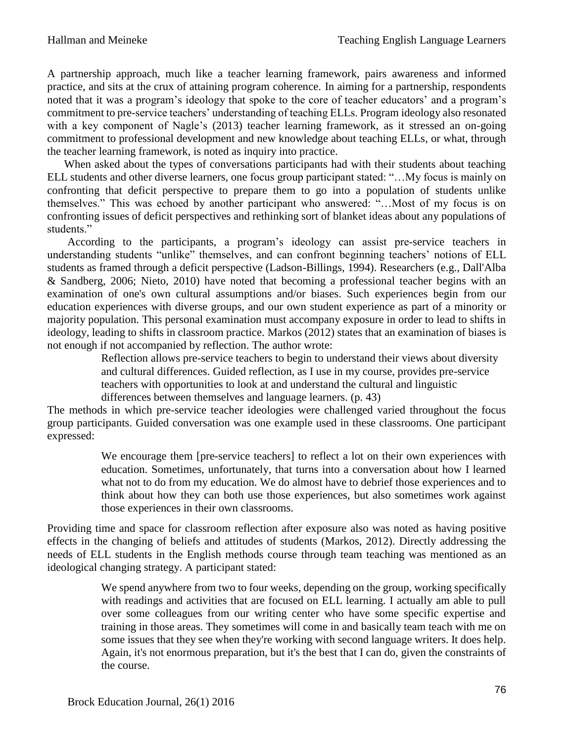A partnership approach, much like a teacher learning framework, pairs awareness and informed practice, and sits at the crux of attaining program coherence. In aiming for a partnership, respondents noted that it was a program's ideology that spoke to the core of teacher educators' and a program's commitment to pre-service teachers' understanding of teaching ELLs. Program ideology also resonated with a key component of Nagle's (2013) teacher learning framework, as it stressed an on-going commitment to professional development and new knowledge about teaching ELLs, or what, through the teacher learning framework, is noted as inquiry into practice.

 When asked about the types of conversations participants had with their students about teaching ELL students and other diverse learners, one focus group participant stated: "…My focus is mainly on confronting that deficit perspective to prepare them to go into a population of students unlike themselves." This was echoed by another participant who answered: "…Most of my focus is on confronting issues of deficit perspectives and rethinking sort of blanket ideas about any populations of students."

According to the participants, a program's ideology can assist pre-service teachers in understanding students "unlike" themselves, and can confront beginning teachers' notions of ELL students as framed through a deficit perspective (Ladson-Billings, 1994). Researchers (e.g., Dall'Alba & Sandberg, 2006; Nieto, 2010) have noted that becoming a professional teacher begins with an examination of one's own cultural assumptions and/or biases. Such experiences begin from our education experiences with diverse groups, and our own student experience as part of a minority or majority population. This personal examination must accompany exposure in order to lead to shifts in ideology, leading to shifts in classroom practice. Markos (2012) states that an examination of biases is not enough if not accompanied by reflection. The author wrote:

> Reflection allows pre-service teachers to begin to understand their views about diversity and cultural differences. Guided reflection, as I use in my course, provides pre-service teachers with opportunities to look at and understand the cultural and linguistic

differences between themselves and language learners. (p. 43)

The methods in which pre-service teacher ideologies were challenged varied throughout the focus group participants. Guided conversation was one example used in these classrooms. One participant expressed:

> We encourage them [pre-service teachers] to reflect a lot on their own experiences with education. Sometimes, unfortunately, that turns into a conversation about how I learned what not to do from my education. We do almost have to debrief those experiences and to think about how they can both use those experiences, but also sometimes work against those experiences in their own classrooms.

Providing time and space for classroom reflection after exposure also was noted as having positive effects in the changing of beliefs and attitudes of students (Markos, 2012). Directly addressing the needs of ELL students in the English methods course through team teaching was mentioned as an ideological changing strategy. A participant stated:

> We spend anywhere from two to four weeks, depending on the group, working specifically with readings and activities that are focused on ELL learning. I actually am able to pull over some colleagues from our writing center who have some specific expertise and training in those areas. They sometimes will come in and basically team teach with me on some issues that they see when they're working with second language writers. It does help. Again, it's not enormous preparation, but it's the best that I can do, given the constraints of the course.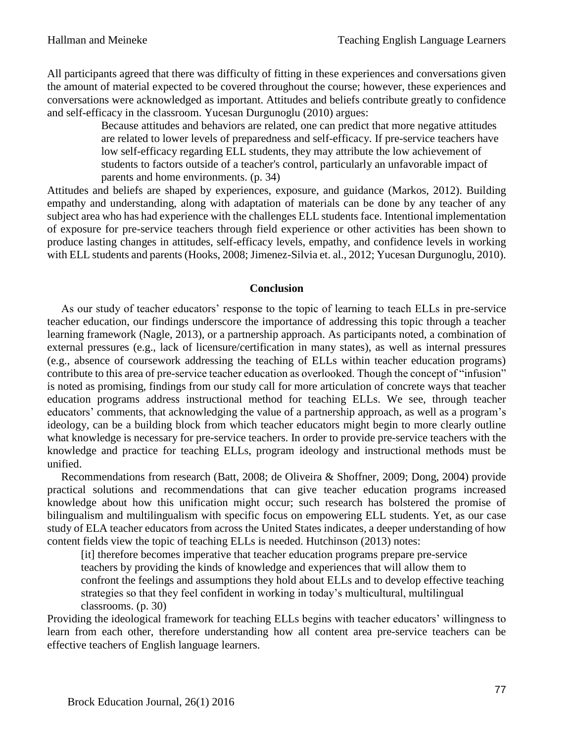All participants agreed that there was difficulty of fitting in these experiences and conversations given the amount of material expected to be covered throughout the course; however, these experiences and conversations were acknowledged as important. Attitudes and beliefs contribute greatly to confidence and self-efficacy in the classroom. Yucesan Durgunoglu (2010) argues:

Because attitudes and behaviors are related, one can predict that more negative attitudes are related to lower levels of preparedness and self-efficacy. If pre-service teachers have low self-efficacy regarding ELL students, they may attribute the low achievement of students to factors outside of a teacher's control, particularly an unfavorable impact of parents and home environments. (p. 34)

Attitudes and beliefs are shaped by experiences, exposure, and guidance (Markos, 2012). Building empathy and understanding, along with adaptation of materials can be done by any teacher of any subject area who has had experience with the challenges ELL students face. Intentional implementation of exposure for pre-service teachers through field experience or other activities has been shown to produce lasting changes in attitudes, self-efficacy levels, empathy, and confidence levels in working with ELL students and parents (Hooks, 2008; Jimenez-Silvia et. al., 2012; Yucesan Durgunoglu, 2010).

#### **Conclusion**

 As our study of teacher educators' response to the topic of learning to teach ELLs in pre-service teacher education, our findings underscore the importance of addressing this topic through a teacher learning framework (Nagle, 2013), or a partnership approach. As participants noted, a combination of external pressures (e.g., lack of licensure/certification in many states), as well as internal pressures (e.g., absence of coursework addressing the teaching of ELLs within teacher education programs) contribute to this area of pre-service teacher education as overlooked. Though the concept of "infusion" is noted as promising, findings from our study call for more articulation of concrete ways that teacher education programs address instructional method for teaching ELLs. We see, through teacher educators' comments, that acknowledging the value of a partnership approach, as well as a program's ideology, can be a building block from which teacher educators might begin to more clearly outline what knowledge is necessary for pre-service teachers. In order to provide pre-service teachers with the knowledge and practice for teaching ELLs, program ideology and instructional methods must be unified.

 Recommendations from research (Batt, 2008; de Oliveira & Shoffner, 2009; Dong, 2004) provide practical solutions and recommendations that can give teacher education programs increased knowledge about how this unification might occur; such research has bolstered the promise of bilingualism and multilingualism with specific focus on empowering ELL students. Yet, as our case study of ELA teacher educators from across the United States indicates, a deeper understanding of how content fields view the topic of teaching ELLs is needed. Hutchinson (2013) notes:

[it] therefore becomes imperative that teacher education programs prepare pre-service teachers by providing the kinds of knowledge and experiences that will allow them to confront the feelings and assumptions they hold about ELLs and to develop effective teaching strategies so that they feel confident in working in today's multicultural, multilingual classrooms. (p. 30)

Providing the ideological framework for teaching ELLs begins with teacher educators' willingness to learn from each other, therefore understanding how all content area pre-service teachers can be effective teachers of English language learners.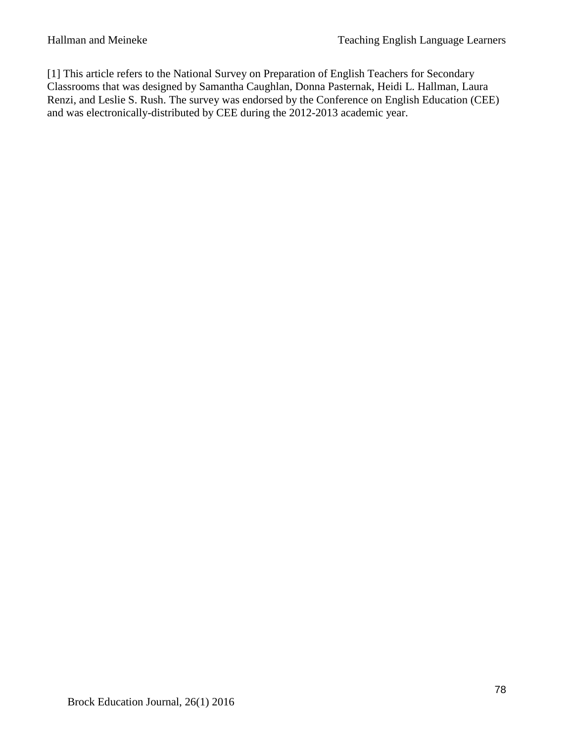[1] This article refers to the National Survey on Preparation of English Teachers for Secondary Classrooms that was designed by Samantha Caughlan, Donna Pasternak, Heidi L. Hallman, Laura Renzi, and Leslie S. Rush. The survey was endorsed by the Conference on English Education (CEE) and was electronically-distributed by CEE during the 2012-2013 academic year.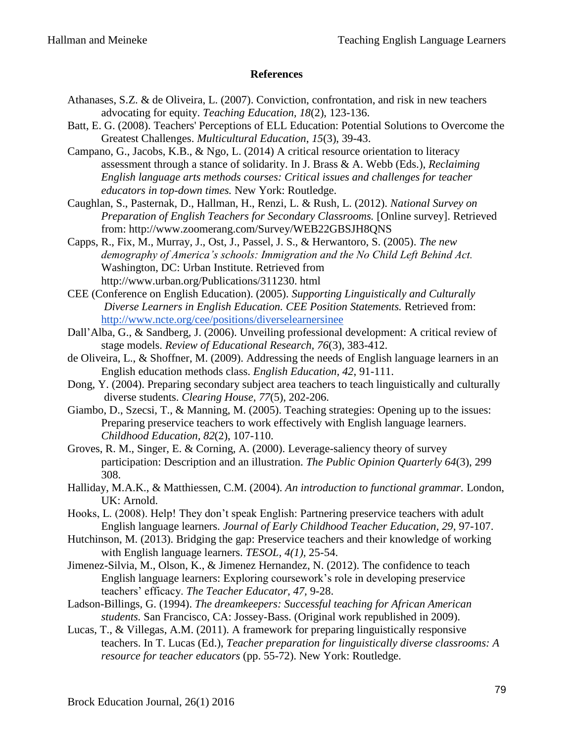#### **References**

- Athanases, S.Z. & de Oliveira, L. (2007). Conviction, confrontation, and risk in new teachers advocating for equity. *Teaching Education, 18*(2), 123-136.
- Batt, E. G. (2008). Teachers' Perceptions of ELL Education: Potential Solutions to Overcome the Greatest Challenges. *Multicultural Education*, *15*(3), 39-43.
- Campano, G., Jacobs, K.B., & Ngo, L. (2014) A critical resource orientation to literacy assessment through a stance of solidarity. In J. Brass & A. Webb (Eds.), *Reclaiming English language arts methods courses: Critical issues and challenges for teacher educators in top-down times.* New York: Routledge.
- Caughlan, S., Pasternak, D., Hallman, H., Renzi, L. & Rush, L. (2012). *National Survey on Preparation of English Teachers for Secondary Classrooms.* [Online survey]. Retrieved from: http://www.zoomerang.com/Survey/WEB22GBSJH8QNS
- Capps, R., Fix, M., Murray, J., Ost, J., Passel, J. S., & Herwantoro, S. (2005). *The new demography of America's schools: Immigration and the No Child Left Behind Act.* Washington, DC: Urban Institute. Retrieved from http://www.urban.org/Publications/311230. html
- CEE (Conference on English Education). (2005). *Supporting Linguistically and Culturally Diverse Learners in English Education. CEE Position Statements.* Retrieved from: <http://www.ncte.org/cee/positions/diverselearnersinee>
- Dall'Alba, G., & Sandberg, J. (2006). Unveiling professional development: A critical review of stage models. *Review of Educational Research, 76*(3), 383-412.
- de Oliveira, L., & Shoffner, M. (2009). Addressing the needs of English language learners in an English education methods class. *English Education, 42*, 91-111.
- Dong, Y. (2004). Preparing secondary subject area teachers to teach linguistically and culturally diverse students. *Clearing House*, *77*(5), 202-206.
- Giambo, D., Szecsi, T., & Manning, M. (2005). Teaching strategies: Opening up to the issues: Preparing preservice teachers to work effectively with English language learners. *Childhood Education, 82*(2), 107-110.
- Groves, R. M., Singer, E. & Corning, A. (2000). Leverage-saliency theory of survey participation: Description and an illustration. *The Public Opinion Quarterly 64*(3), 299 308.
- Halliday, M.A.K., & Matthiessen, C.M. (2004). *An introduction to functional grammar.* London, UK: Arnold.
- Hooks, L. (2008). Help! They don't speak English: Partnering preservice teachers with adult English language learners. *Journal of Early Childhood Teacher Education, 29,* 97-107.
- Hutchinson, M. (2013). Bridging the gap: Preservice teachers and their knowledge of working with English language learners. *TESOL, 4(1),* 25-54.
- Jimenez-Silvia, M., Olson, K., & Jimenez Hernandez, N. (2012). The confidence to teach English language learners: Exploring coursework's role in developing preservice teachers' efficacy. *The Teacher Educator, 47,* 9-28.
- Ladson-Billings, G. (1994). *The dreamkeepers: Successful teaching for African American students.* San Francisco, CA: Jossey-Bass. (Original work republished in 2009).
- Lucas, T., & Villegas, A.M. (2011). A framework for preparing linguistically responsive teachers. In T. Lucas (Ed.), *Teacher preparation for linguistically diverse classrooms: A resource for teacher educators* (pp. 55-72). New York: Routledge.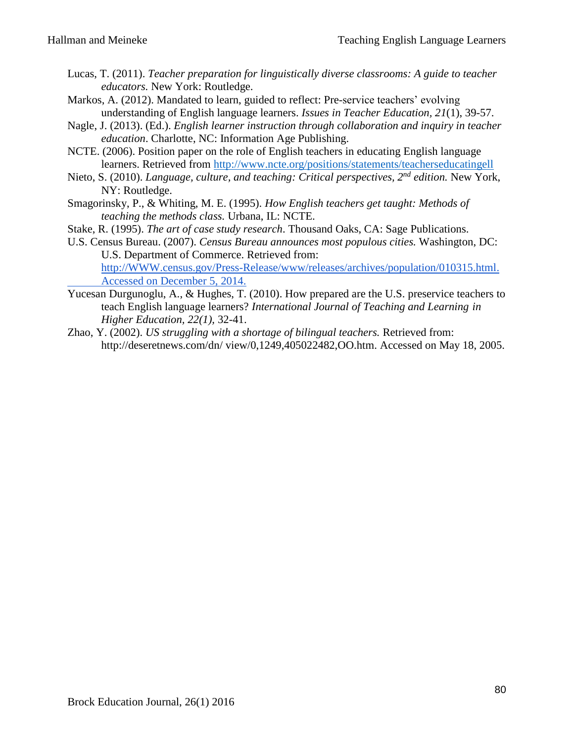- Lucas, T. (2011). *Teacher preparation for linguistically diverse classrooms: A guide to teacher educators.* New York: Routledge.
- Markos, A. (2012). Mandated to learn, guided to reflect: Pre-service teachers' evolving understanding of English language learners. *Issues in Teacher Education, 21*(1), 39-57.
- Nagle, J. (2013). (Ed.). *English learner instruction through collaboration and inquiry in teacher education*. Charlotte, NC: Information Age Publishing.
- NCTE. (2006). Position paper on the role of English teachers in educating English language learners. Retrieved from <http://www.ncte.org/positions/statements/teacherseducatingell>
- Nieto, S. (2010). *Language, culture, and teaching: Critical perspectives, 2nd edition.* New York, NY: Routledge.
- Smagorinsky, P., & Whiting, M. E. (1995). *How English teachers get taught: Methods of teaching the methods class.* Urbana, IL: NCTE.
- Stake, R. (1995). *The art of case study research*. Thousand Oaks, CA: Sage Publications.
- U.S. Census Bureau. (2007). *Census Bureau announces most populous cities.* Washington, DC: U.S. Department of Commerce. Retrieved from: [http://WWW.census.gov/Press-Release/www/releases/archives/population/010315.html.](http://www.census.gov/Press-Release/www/releases/archives/population/010315.html) Accessed on December 5, 2014.
- Yucesan Durgunoglu, A., & Hughes, T. (2010). How prepared are the U.S. preservice teachers to teach English language learners? *International Journal of Teaching and Learning in Higher Education, 22(1),* 32-41.
- Zhao, Y. (2002). *US struggling with a shortage of bilingual teachers.* Retrieved from: http://deseretnews.com/dn/ view/0,1249,405022482,OO.htm. Accessed on May 18, 2005.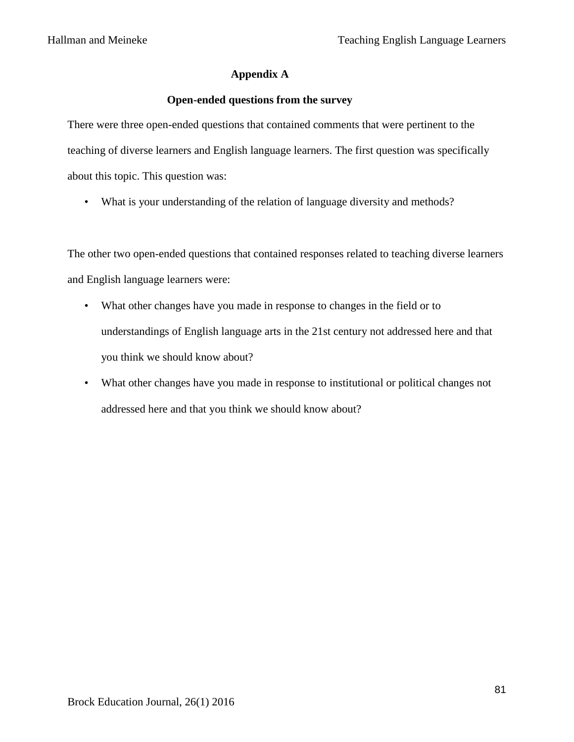## **Appendix A**

## **Open-ended questions from the survey**

There were three open-ended questions that contained comments that were pertinent to the teaching of diverse learners and English language learners. The first question was specifically about this topic. This question was:

• What is your understanding of the relation of language diversity and methods?

The other two open-ended questions that contained responses related to teaching diverse learners and English language learners were:

- What other changes have you made in response to changes in the field or to understandings of English language arts in the 21st century not addressed here and that you think we should know about?
- What other changes have you made in response to institutional or political changes not addressed here and that you think we should know about?